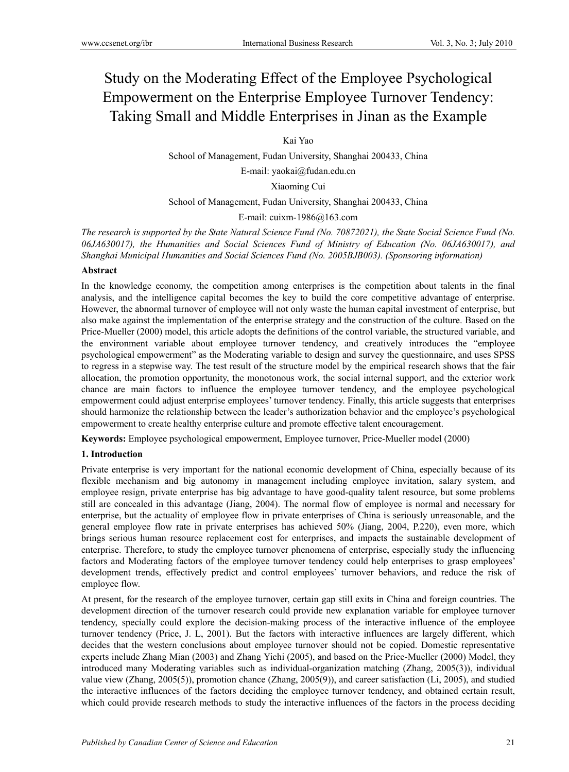# Study on the Moderating Effect of the Employee Psychological Empowerment on the Enterprise Employee Turnover Tendency: Taking Small and Middle Enterprises in Jinan as the Example

Kai Yao

School of Management, Fudan University, Shanghai 200433, China

E-mail: yaokai@fudan.edu.cn

Xiaoming Cui

School of Management, Fudan University, Shanghai 200433, China

E-mail: cuixm-1986@163.com

*The research is supported by the State Natural Science Fund (No. 70872021), the State Social Science Fund (No. 06JA630017), the Humanities and Social Sciences Fund of Ministry of Education (No. 06JA630017), and Shanghai Municipal Humanities and Social Sciences Fund (No. 2005BJB003). (Sponsoring information)* 

# **Abstract**

In the knowledge economy, the competition among enterprises is the competition about talents in the final analysis, and the intelligence capital becomes the key to build the core competitive advantage of enterprise. However, the abnormal turnover of employee will not only waste the human capital investment of enterprise, but also make against the implementation of the enterprise strategy and the construction of the culture. Based on the Price-Mueller (2000) model, this article adopts the definitions of the control variable, the structured variable, and the environment variable about employee turnover tendency, and creatively introduces the "employee psychological empowerment" as the Moderating variable to design and survey the questionnaire, and uses SPSS to regress in a stepwise way. The test result of the structure model by the empirical research shows that the fair allocation, the promotion opportunity, the monotonous work, the social internal support, and the exterior work chance are main factors to influence the employee turnover tendency, and the employee psychological empowerment could adjust enterprise employees' turnover tendency. Finally, this article suggests that enterprises should harmonize the relationship between the leader's authorization behavior and the employee's psychological empowerment to create healthy enterprise culture and promote effective talent encouragement.

**Keywords:** Employee psychological empowerment, Employee turnover, Price-Mueller model (2000)

# **1. Introduction**

Private enterprise is very important for the national economic development of China, especially because of its flexible mechanism and big autonomy in management including employee invitation, salary system, and employee resign, private enterprise has big advantage to have good-quality talent resource, but some problems still are concealed in this advantage (Jiang, 2004). The normal flow of employee is normal and necessary for enterprise, but the actuality of employee flow in private enterprises of China is seriously unreasonable, and the general employee flow rate in private enterprises has achieved 50% (Jiang, 2004, P.220), even more, which brings serious human resource replacement cost for enterprises, and impacts the sustainable development of enterprise. Therefore, to study the employee turnover phenomena of enterprise, especially study the influencing factors and Moderating factors of the employee turnover tendency could help enterprises to grasp employees' development trends, effectively predict and control employees' turnover behaviors, and reduce the risk of employee flow.

At present, for the research of the employee turnover, certain gap still exits in China and foreign countries. The development direction of the turnover research could provide new explanation variable for employee turnover tendency, specially could explore the decision-making process of the interactive influence of the employee turnover tendency (Price, J. L, 2001). But the factors with interactive influences are largely different, which decides that the western conclusions about employee turnover should not be copied. Domestic representative experts include Zhang Mian (2003) and Zhang Yichi (2005), and based on the Price-Mueller (2000) Model, they introduced many Moderating variables such as individual-organization matching (Zhang, 2005(3)), individual value view (Zhang, 2005(5)), promotion chance (Zhang, 2005(9)), and career satisfaction (Li, 2005), and studied the interactive influences of the factors deciding the employee turnover tendency, and obtained certain result, which could provide research methods to study the interactive influences of the factors in the process deciding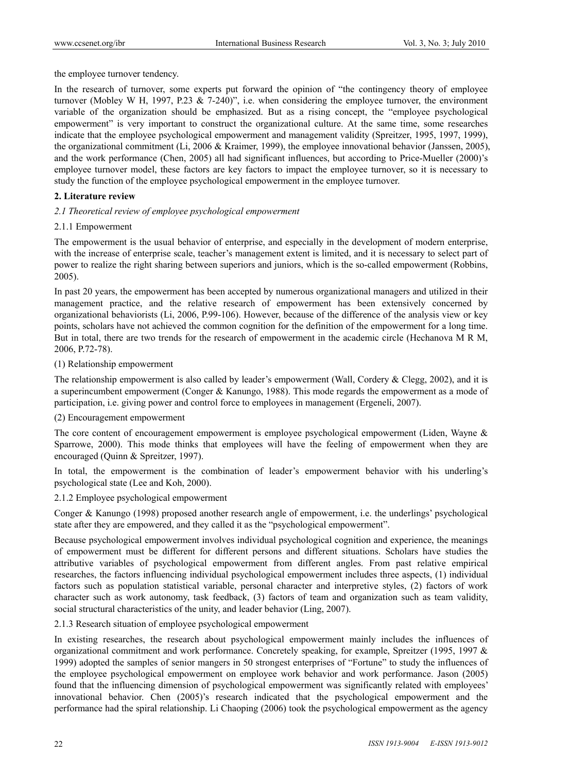the employee turnover tendency.

In the research of turnover, some experts put forward the opinion of "the contingency theory of employee turnover (Mobley W H, 1997, P.23 & 7-240)", i.e. when considering the employee turnover, the environment variable of the organization should be emphasized. But as a rising concept, the "employee psychological empowerment" is very important to construct the organizational culture. At the same time, some researches indicate that the employee psychological empowerment and management validity (Spreitzer, 1995, 1997, 1999), the organizational commitment (Li, 2006 & Kraimer, 1999), the employee innovational behavior (Janssen, 2005), and the work performance (Chen, 2005) all had significant influences, but according to Price-Mueller (2000)'s employee turnover model, these factors are key factors to impact the employee turnover, so it is necessary to study the function of the employee psychological empowerment in the employee turnover.

# **2. Literature review**

# *2.1 Theoretical review of employee psychological empowerment*

# 2.1.1 Empowerment

The empowerment is the usual behavior of enterprise, and especially in the development of modern enterprise, with the increase of enterprise scale, teacher's management extent is limited, and it is necessary to select part of power to realize the right sharing between superiors and juniors, which is the so-called empowerment (Robbins, 2005).

In past 20 years, the empowerment has been accepted by numerous organizational managers and utilized in their management practice, and the relative research of empowerment has been extensively concerned by organizational behaviorists (Li, 2006, P.99-106). However, because of the difference of the analysis view or key points, scholars have not achieved the common cognition for the definition of the empowerment for a long time. But in total, there are two trends for the research of empowerment in the academic circle (Hechanova M R M, 2006, P.72-78).

# (1) Relationship empowerment

The relationship empowerment is also called by leader's empowerment (Wall, Cordery & Clegg, 2002), and it is a superincumbent empowerment (Conger & Kanungo, 1988). This mode regards the empowerment as a mode of participation, i.e. giving power and control force to employees in management (Ergeneli, 2007).

# (2) Encouragement empowerment

The core content of encouragement empowerment is employee psychological empowerment (Liden, Wayne & Sparrowe, 2000). This mode thinks that employees will have the feeling of empowerment when they are encouraged (Quinn & Spreitzer, 1997).

In total, the empowerment is the combination of leader's empowerment behavior with his underling's psychological state (Lee and Koh, 2000).

# 2.1.2 Employee psychological empowerment

Conger & Kanungo (1998) proposed another research angle of empowerment, i.e. the underlings' psychological state after they are empowered, and they called it as the "psychological empowerment".

Because psychological empowerment involves individual psychological cognition and experience, the meanings of empowerment must be different for different persons and different situations. Scholars have studies the attributive variables of psychological empowerment from different angles. From past relative empirical researches, the factors influencing individual psychological empowerment includes three aspects, (1) individual factors such as population statistical variable, personal character and interpretive styles, (2) factors of work character such as work autonomy, task feedback, (3) factors of team and organization such as team validity, social structural characteristics of the unity, and leader behavior (Ling, 2007).

# 2.1.3 Research situation of employee psychological empowerment

In existing researches, the research about psychological empowerment mainly includes the influences of organizational commitment and work performance. Concretely speaking, for example, Spreitzer (1995, 1997 & 1999) adopted the samples of senior mangers in 50 strongest enterprises of "Fortune" to study the influences of the employee psychological empowerment on employee work behavior and work performance. Jason (2005) found that the influencing dimension of psychological empowerment was significantly related with employees' innovational behavior. Chen (2005)'s research indicated that the psychological empowerment and the performance had the spiral relationship. Li Chaoping (2006) took the psychological empowerment as the agency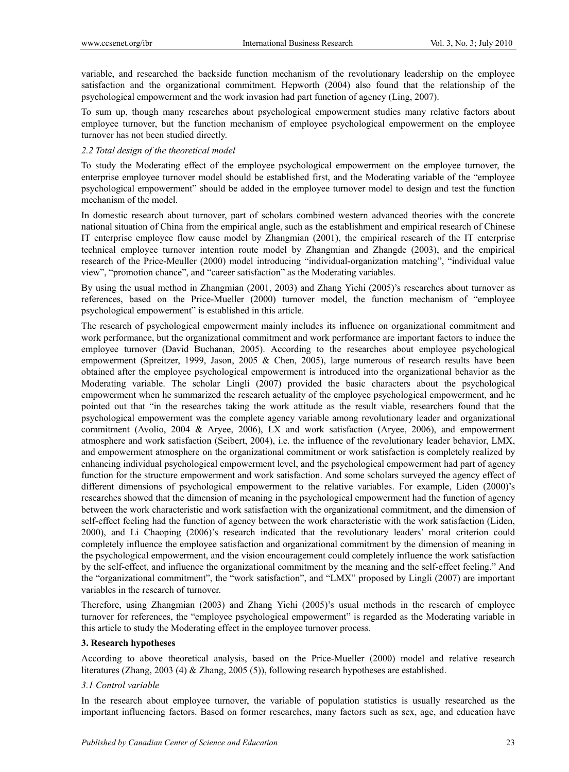variable, and researched the backside function mechanism of the revolutionary leadership on the employee satisfaction and the organizational commitment. Hepworth (2004) also found that the relationship of the psychological empowerment and the work invasion had part function of agency (Ling, 2007).

To sum up, though many researches about psychological empowerment studies many relative factors about employee turnover, but the function mechanism of employee psychological empowerment on the employee turnover has not been studied directly.

# *2.2 Total design of the theoretical model*

To study the Moderating effect of the employee psychological empowerment on the employee turnover, the enterprise employee turnover model should be established first, and the Moderating variable of the "employee psychological empowerment" should be added in the employee turnover model to design and test the function mechanism of the model.

In domestic research about turnover, part of scholars combined western advanced theories with the concrete national situation of China from the empirical angle, such as the establishment and empirical research of Chinese IT enterprise employee flow cause model by Zhangmian (2001), the empirical research of the IT enterprise technical employee turnover intention route model by Zhangmian and Zhangde (2003), and the empirical research of the Price-Meuller (2000) model introducing "individual-organization matching", "individual value view", "promotion chance", and "career satisfaction" as the Moderating variables.

By using the usual method in Zhangmian (2001, 2003) and Zhang Yichi (2005)'s researches about turnover as references, based on the Price-Mueller (2000) turnover model, the function mechanism of "employee psychological empowerment" is established in this article.

The research of psychological empowerment mainly includes its influence on organizational commitment and work performance, but the organizational commitment and work performance are important factors to induce the employee turnover (David Buchanan, 2005). According to the researches about employee psychological empowerment (Spreitzer, 1999, Jason, 2005 & Chen, 2005), large numerous of research results have been obtained after the employee psychological empowerment is introduced into the organizational behavior as the Moderating variable. The scholar Lingli (2007) provided the basic characters about the psychological empowerment when he summarized the research actuality of the employee psychological empowerment, and he pointed out that "in the researches taking the work attitude as the result viable, researchers found that the psychological empowerment was the complete agency variable among revolutionary leader and organizational commitment (Avolio, 2004 & Aryee, 2006), LX and work satisfaction (Aryee, 2006), and empowerment atmosphere and work satisfaction (Seibert, 2004), i.e. the influence of the revolutionary leader behavior, LMX, and empowerment atmosphere on the organizational commitment or work satisfaction is completely realized by enhancing individual psychological empowerment level, and the psychological empowerment had part of agency function for the structure empowerment and work satisfaction. And some scholars surveyed the agency effect of different dimensions of psychological empowerment to the relative variables. For example, Liden (2000)'s researches showed that the dimension of meaning in the psychological empowerment had the function of agency between the work characteristic and work satisfaction with the organizational commitment, and the dimension of self-effect feeling had the function of agency between the work characteristic with the work satisfaction (Liden, 2000), and Li Chaoping (2006)'s research indicated that the revolutionary leaders' moral criterion could completely influence the employee satisfaction and organizational commitment by the dimension of meaning in the psychological empowerment, and the vision encouragement could completely influence the work satisfaction by the self-effect, and influence the organizational commitment by the meaning and the self-effect feeling." And the "organizational commitment", the "work satisfaction", and "LMX" proposed by Lingli (2007) are important variables in the research of turnover.

Therefore, using Zhangmian (2003) and Zhang Yichi (2005)'s usual methods in the research of employee turnover for references, the "employee psychological empowerment" is regarded as the Moderating variable in this article to study the Moderating effect in the employee turnover process.

# **3. Research hypotheses**

According to above theoretical analysis, based on the Price-Mueller (2000) model and relative research literatures (Zhang, 2003 (4) & Zhang, 2005 (5)), following research hypotheses are established.

# *3.1 Control variable*

In the research about employee turnover, the variable of population statistics is usually researched as the important influencing factors. Based on former researches, many factors such as sex, age, and education have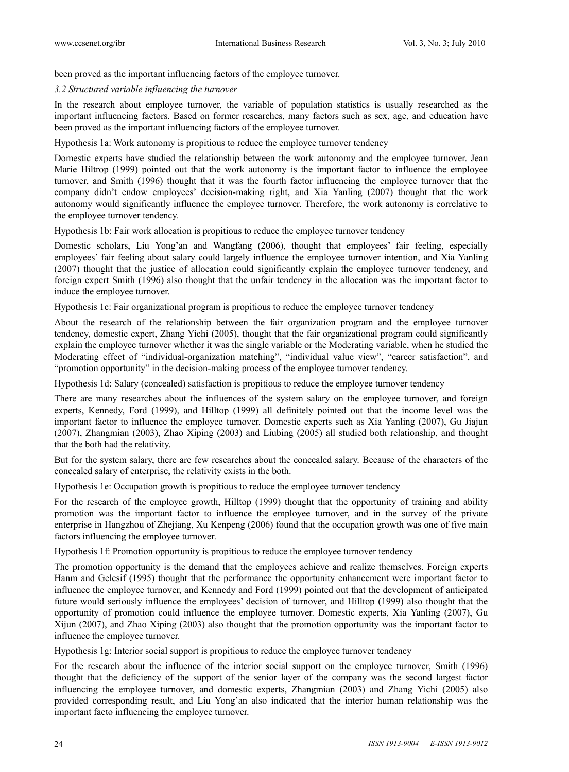been proved as the important influencing factors of the employee turnover.

#### *3.2 Structured variable influencing the turnover*

In the research about employee turnover, the variable of population statistics is usually researched as the important influencing factors. Based on former researches, many factors such as sex, age, and education have been proved as the important influencing factors of the employee turnover.

Hypothesis 1a: Work autonomy is propitious to reduce the employee turnover tendency

Domestic experts have studied the relationship between the work autonomy and the employee turnover. Jean Marie Hiltrop (1999) pointed out that the work autonomy is the important factor to influence the employee turnover, and Smith (1996) thought that it was the fourth factor influencing the employee turnover that the company didn't endow employees' decision-making right, and Xia Yanling (2007) thought that the work autonomy would significantly influence the employee turnover. Therefore, the work autonomy is correlative to the employee turnover tendency.

Hypothesis 1b: Fair work allocation is propitious to reduce the employee turnover tendency

Domestic scholars, Liu Yong'an and Wangfang (2006), thought that employees' fair feeling, especially employees' fair feeling about salary could largely influence the employee turnover intention, and Xia Yanling (2007) thought that the justice of allocation could significantly explain the employee turnover tendency, and foreign expert Smith (1996) also thought that the unfair tendency in the allocation was the important factor to induce the employee turnover.

Hypothesis 1c: Fair organizational program is propitious to reduce the employee turnover tendency

About the research of the relationship between the fair organization program and the employee turnover tendency, domestic expert, Zhang Yichi (2005), thought that the fair organizational program could significantly explain the employee turnover whether it was the single variable or the Moderating variable, when he studied the Moderating effect of "individual-organization matching", "individual value view", "career satisfaction", and "promotion opportunity" in the decision-making process of the employee turnover tendency.

Hypothesis 1d: Salary (concealed) satisfaction is propitious to reduce the employee turnover tendency

There are many researches about the influences of the system salary on the employee turnover, and foreign experts, Kennedy, Ford (1999), and Hilltop (1999) all definitely pointed out that the income level was the important factor to influence the employee turnover. Domestic experts such as Xia Yanling (2007), Gu Jiajun (2007), Zhangmian (2003), Zhao Xiping (2003) and Liubing (2005) all studied both relationship, and thought that the both had the relativity.

But for the system salary, there are few researches about the concealed salary. Because of the characters of the concealed salary of enterprise, the relativity exists in the both.

Hypothesis 1e: Occupation growth is propitious to reduce the employee turnover tendency

For the research of the employee growth, Hilltop (1999) thought that the opportunity of training and ability promotion was the important factor to influence the employee turnover, and in the survey of the private enterprise in Hangzhou of Zhejiang, Xu Kenpeng (2006) found that the occupation growth was one of five main factors influencing the employee turnover.

Hypothesis 1f: Promotion opportunity is propitious to reduce the employee turnover tendency

The promotion opportunity is the demand that the employees achieve and realize themselves. Foreign experts Hanm and Gelesif (1995) thought that the performance the opportunity enhancement were important factor to influence the employee turnover, and Kennedy and Ford (1999) pointed out that the development of anticipated future would seriously influence the employees' decision of turnover, and Hilltop (1999) also thought that the opportunity of promotion could influence the employee turnover. Domestic experts, Xia Yanling (2007), Gu Xijun (2007), and Zhao Xiping (2003) also thought that the promotion opportunity was the important factor to influence the employee turnover.

Hypothesis 1g: Interior social support is propitious to reduce the employee turnover tendency

For the research about the influence of the interior social support on the employee turnover, Smith (1996) thought that the deficiency of the support of the senior layer of the company was the second largest factor influencing the employee turnover, and domestic experts, Zhangmian (2003) and Zhang Yichi (2005) also provided corresponding result, and Liu Yong'an also indicated that the interior human relationship was the important facto influencing the employee turnover.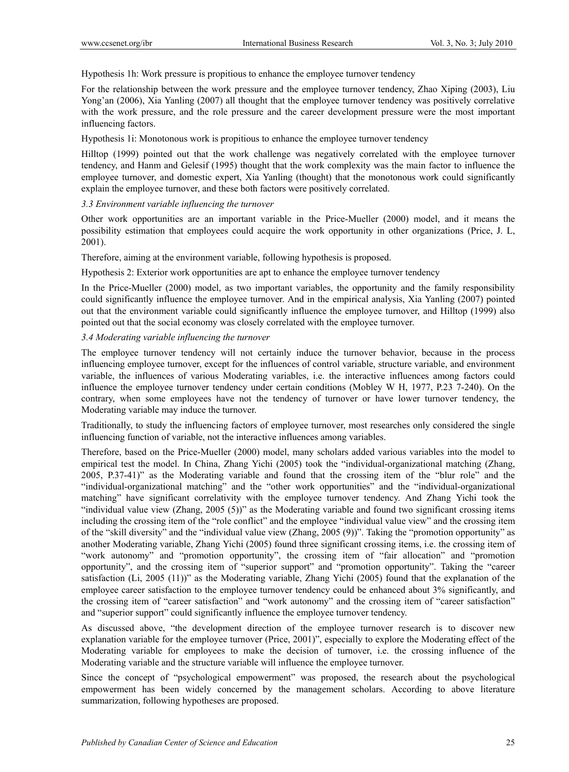Hypothesis 1h: Work pressure is propitious to enhance the employee turnover tendency

For the relationship between the work pressure and the employee turnover tendency, Zhao Xiping (2003), Liu Yong'an (2006), Xia Yanling (2007) all thought that the employee turnover tendency was positively correlative with the work pressure, and the role pressure and the career development pressure were the most important influencing factors.

Hypothesis 1i: Monotonous work is propitious to enhance the employee turnover tendency

Hilltop (1999) pointed out that the work challenge was negatively correlated with the employee turnover tendency, and Hanm and Gelesif (1995) thought that the work complexity was the main factor to influence the employee turnover, and domestic expert, Xia Yanling (thought) that the monotonous work could significantly explain the employee turnover, and these both factors were positively correlated.

# *3.3 Environment variable influencing the turnover*

Other work opportunities are an important variable in the Price-Mueller (2000) model, and it means the possibility estimation that employees could acquire the work opportunity in other organizations (Price, J. L, 2001).

Therefore, aiming at the environment variable, following hypothesis is proposed.

Hypothesis 2: Exterior work opportunities are apt to enhance the employee turnover tendency

In the Price-Mueller (2000) model, as two important variables, the opportunity and the family responsibility could significantly influence the employee turnover. And in the empirical analysis, Xia Yanling (2007) pointed out that the environment variable could significantly influence the employee turnover, and Hilltop (1999) also pointed out that the social economy was closely correlated with the employee turnover.

# *3.4 Moderating variable influencing the turnover*

The employee turnover tendency will not certainly induce the turnover behavior, because in the process influencing employee turnover, except for the influences of control variable, structure variable, and environment variable, the influences of various Moderating variables, i.e. the interactive influences among factors could influence the employee turnover tendency under certain conditions (Mobley W H, 1977, P.23 7-240). On the contrary, when some employees have not the tendency of turnover or have lower turnover tendency, the Moderating variable may induce the turnover.

Traditionally, to study the influencing factors of employee turnover, most researches only considered the single influencing function of variable, not the interactive influences among variables.

Therefore, based on the Price-Mueller (2000) model, many scholars added various variables into the model to empirical test the model. In China, Zhang Yichi (2005) took the "individual-organizational matching (Zhang, 2005, P.37-41)" as the Moderating variable and found that the crossing item of the "blur role" and the "individual-organizational matching" and the "other work opportunities" and the "individual-organizational matching" have significant correlativity with the employee turnover tendency. And Zhang Yichi took the "individual value view (Zhang, 2005 (5))" as the Moderating variable and found two significant crossing items including the crossing item of the "role conflict" and the employee "individual value view" and the crossing item of the "skill diversity" and the "individual value view (Zhang, 2005 (9))". Taking the "promotion opportunity" as another Moderating variable, Zhang Yichi (2005) found three significant crossing items, i.e. the crossing item of "work autonomy" and "promotion opportunity", the crossing item of "fair allocation" and "promotion opportunity", and the crossing item of "superior support" and "promotion opportunity". Taking the "career satisfaction (Li, 2005 (11))" as the Moderating variable, Zhang Yichi (2005) found that the explanation of the employee career satisfaction to the employee turnover tendency could be enhanced about 3% significantly, and the crossing item of "career satisfaction" and "work autonomy" and the crossing item of "career satisfaction" and "superior support" could significantly influence the employee turnover tendency.

As discussed above, "the development direction of the employee turnover research is to discover new explanation variable for the employee turnover (Price, 2001)", especially to explore the Moderating effect of the Moderating variable for employees to make the decision of turnover, i.e. the crossing influence of the Moderating variable and the structure variable will influence the employee turnover.

Since the concept of "psychological empowerment" was proposed, the research about the psychological empowerment has been widely concerned by the management scholars. According to above literature summarization, following hypotheses are proposed.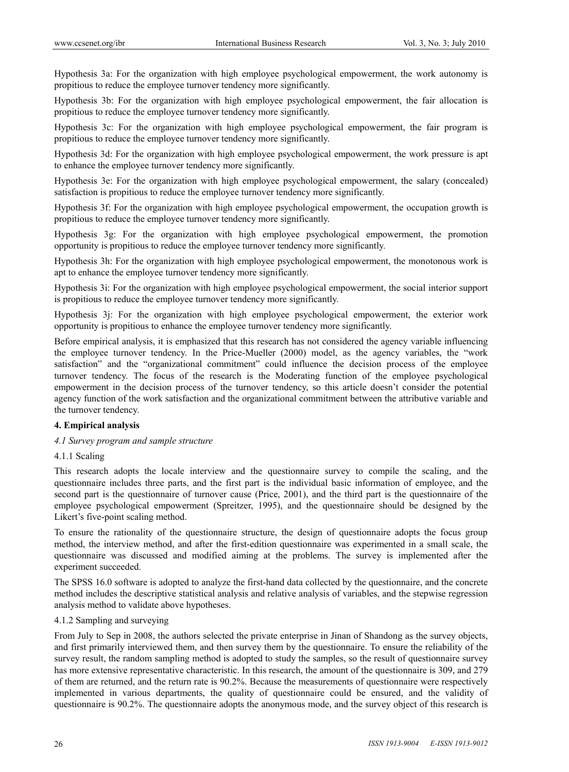Hypothesis 3a: For the organization with high employee psychological empowerment, the work autonomy is propitious to reduce the employee turnover tendency more significantly.

Hypothesis 3b: For the organization with high employee psychological empowerment, the fair allocation is propitious to reduce the employee turnover tendency more significantly.

Hypothesis 3c: For the organization with high employee psychological empowerment, the fair program is propitious to reduce the employee turnover tendency more significantly.

Hypothesis 3d: For the organization with high employee psychological empowerment, the work pressure is apt to enhance the employee turnover tendency more significantly.

Hypothesis 3e: For the organization with high employee psychological empowerment, the salary (concealed) satisfaction is propitious to reduce the employee turnover tendency more significantly.

Hypothesis 3f: For the organization with high employee psychological empowerment, the occupation growth is propitious to reduce the employee turnover tendency more significantly.

Hypothesis 3g: For the organization with high employee psychological empowerment, the promotion opportunity is propitious to reduce the employee turnover tendency more significantly.

Hypothesis 3h: For the organization with high employee psychological empowerment, the monotonous work is apt to enhance the employee turnover tendency more significantly.

Hypothesis 3i: For the organization with high employee psychological empowerment, the social interior support is propitious to reduce the employee turnover tendency more significantly.

Hypothesis 3j: For the organization with high employee psychological empowerment, the exterior work opportunity is propitious to enhance the employee turnover tendency more significantly.

Before empirical analysis, it is emphasized that this research has not considered the agency variable influencing the employee turnover tendency. In the Price-Mueller (2000) model, as the agency variables, the "work satisfaction" and the "organizational commitment" could influence the decision process of the employee turnover tendency. The focus of the research is the Moderating function of the employee psychological empowerment in the decision process of the turnover tendency, so this article doesn't consider the potential agency function of the work satisfaction and the organizational commitment between the attributive variable and the turnover tendency.

# **4. Empirical analysis**

# *4.1 Survey program and sample structure*

#### 4.1.1 Scaling

This research adopts the locale interview and the questionnaire survey to compile the scaling, and the questionnaire includes three parts, and the first part is the individual basic information of employee, and the second part is the questionnaire of turnover cause (Price, 2001), and the third part is the questionnaire of the employee psychological empowerment (Spreitzer, 1995), and the questionnaire should be designed by the Likert's five-point scaling method.

To ensure the rationality of the questionnaire structure, the design of questionnaire adopts the focus group method, the interview method, and after the first-edition questionnaire was experimented in a small scale, the questionnaire was discussed and modified aiming at the problems. The survey is implemented after the experiment succeeded.

The SPSS 16.0 software is adopted to analyze the first-hand data collected by the questionnaire, and the concrete method includes the descriptive statistical analysis and relative analysis of variables, and the stepwise regression analysis method to validate above hypotheses.

#### 4.1.2 Sampling and surveying

From July to Sep in 2008, the authors selected the private enterprise in Jinan of Shandong as the survey objects, and first primarily interviewed them, and then survey them by the questionnaire. To ensure the reliability of the survey result, the random sampling method is adopted to study the samples, so the result of questionnaire survey has more extensive representative characteristic. In this research, the amount of the questionnaire is 309, and 279 of them are returned, and the return rate is 90.2%. Because the measurements of questionnaire were respectively implemented in various departments, the quality of questionnaire could be ensured, and the validity of questionnaire is 90.2%. The questionnaire adopts the anonymous mode, and the survey object of this research is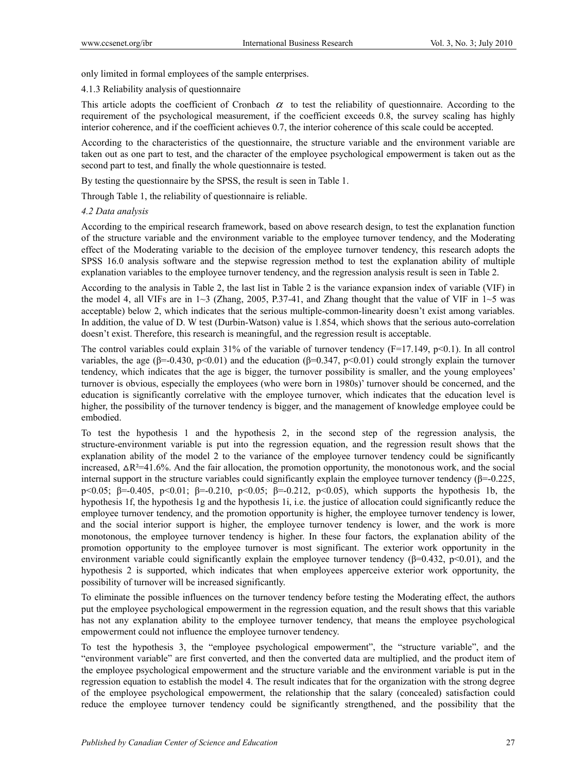only limited in formal employees of the sample enterprises.

4.1.3 Reliability analysis of questionnaire

This article adopts the coefficient of Cronbach  $\alpha$  to test the reliability of questionnaire. According to the requirement of the psychological measurement, if the coefficient exceeds 0.8, the survey scaling has highly interior coherence, and if the coefficient achieves 0.7, the interior coherence of this scale could be accepted.

According to the characteristics of the questionnaire, the structure variable and the environment variable are taken out as one part to test, and the character of the employee psychological empowerment is taken out as the second part to test, and finally the whole questionnaire is tested.

By testing the questionnaire by the SPSS, the result is seen in Table 1.

Through Table 1, the reliability of questionnaire is reliable.

# *4.2 Data analysis*

According to the empirical research framework, based on above research design, to test the explanation function of the structure variable and the environment variable to the employee turnover tendency, and the Moderating effect of the Moderating variable to the decision of the employee turnover tendency, this research adopts the SPSS 16.0 analysis software and the stepwise regression method to test the explanation ability of multiple explanation variables to the employee turnover tendency, and the regression analysis result is seen in Table 2.

According to the analysis in Table 2, the last list in Table 2 is the variance expansion index of variable (VIF) in the model 4, all VIFs are in  $1~3$  (Zhang, 2005, P.37-41, and Zhang thought that the value of VIF in  $1~5$  was acceptable) below 2, which indicates that the serious multiple-common-linearity doesn't exist among variables. In addition, the value of D. W test (Durbin-Watson) value is 1.854, which shows that the serious auto-correlation doesn't exist. Therefore, this research is meaningful, and the regression result is acceptable.

The control variables could explain  $31\%$  of the variable of turnover tendency (F=17.149, p<0.1). In all control variables, the age ( $\beta$ =-0.430, p<0.01) and the education ( $\beta$ =0.347, p<0.01) could strongly explain the turnover tendency, which indicates that the age is bigger, the turnover possibility is smaller, and the young employees' turnover is obvious, especially the employees (who were born in 1980s)' turnover should be concerned, and the education is significantly correlative with the employee turnover, which indicates that the education level is higher, the possibility of the turnover tendency is bigger, and the management of knowledge employee could be embodied.

To test the hypothesis 1 and the hypothesis 2, in the second step of the regression analysis, the structure-environment variable is put into the regression equation, and the regression result shows that the explanation ability of the model 2 to the variance of the employee turnover tendency could be significantly increased,  $\Delta R^2 = 41.6\%$ . And the fair allocation, the promotion opportunity, the monotonous work, and the social internal support in the structure variables could significantly explain the employee turnover tendency  $(\beta = 0.225)$ , p<0.05; β=-0.405, p<0.01; β=-0.210, p<0.05; β=-0.212, p<0.05), which supports the hypothesis 1b, the hypothesis 1f, the hypothesis 1g and the hypothesis 1i, i.e. the justice of allocation could significantly reduce the employee turnover tendency, and the promotion opportunity is higher, the employee turnover tendency is lower, and the social interior support is higher, the employee turnover tendency is lower, and the work is more monotonous, the employee turnover tendency is higher. In these four factors, the explanation ability of the promotion opportunity to the employee turnover is most significant. The exterior work opportunity in the environment variable could significantly explain the employee turnover tendency ( $\beta$ =0.432, p<0.01), and the hypothesis 2 is supported, which indicates that when employees apperceive exterior work opportunity, the possibility of turnover will be increased significantly.

To eliminate the possible influences on the turnover tendency before testing the Moderating effect, the authors put the employee psychological empowerment in the regression equation, and the result shows that this variable has not any explanation ability to the employee turnover tendency, that means the employee psychological empowerment could not influence the employee turnover tendency.

To test the hypothesis 3, the "employee psychological empowerment", the "structure variable", and the "environment variable" are first converted, and then the converted data are multiplied, and the product item of the employee psychological empowerment and the structure variable and the environment variable is put in the regression equation to establish the model 4. The result indicates that for the organization with the strong degree of the employee psychological empowerment, the relationship that the salary (concealed) satisfaction could reduce the employee turnover tendency could be significantly strengthened, and the possibility that the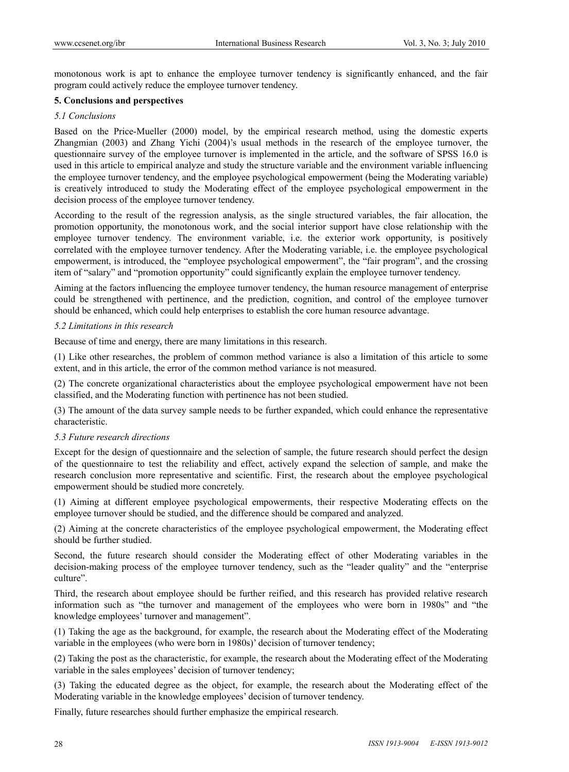monotonous work is apt to enhance the employee turnover tendency is significantly enhanced, and the fair program could actively reduce the employee turnover tendency.

# **5. Conclusions and perspectives**

#### *5.1 Conclusions*

Based on the Price-Mueller (2000) model, by the empirical research method, using the domestic experts Zhangmian (2003) and Zhang Yichi (2004)'s usual methods in the research of the employee turnover, the questionnaire survey of the employee turnover is implemented in the article, and the software of SPSS 16.0 is used in this article to empirical analyze and study the structure variable and the environment variable influencing the employee turnover tendency, and the employee psychological empowerment (being the Moderating variable) is creatively introduced to study the Moderating effect of the employee psychological empowerment in the decision process of the employee turnover tendency.

According to the result of the regression analysis, as the single structured variables, the fair allocation, the promotion opportunity, the monotonous work, and the social interior support have close relationship with the employee turnover tendency. The environment variable, i.e. the exterior work opportunity, is positively correlated with the employee turnover tendency. After the Moderating variable, i.e. the employee psychological empowerment, is introduced, the "employee psychological empowerment", the "fair program", and the crossing item of "salary" and "promotion opportunity" could significantly explain the employee turnover tendency.

Aiming at the factors influencing the employee turnover tendency, the human resource management of enterprise could be strengthened with pertinence, and the prediction, cognition, and control of the employee turnover should be enhanced, which could help enterprises to establish the core human resource advantage.

# *5.2 Limitations in this research*

Because of time and energy, there are many limitations in this research.

(1) Like other researches, the problem of common method variance is also a limitation of this article to some extent, and in this article, the error of the common method variance is not measured.

(2) The concrete organizational characteristics about the employee psychological empowerment have not been classified, and the Moderating function with pertinence has not been studied.

(3) The amount of the data survey sample needs to be further expanded, which could enhance the representative characteristic.

# *5.3 Future research directions*

Except for the design of questionnaire and the selection of sample, the future research should perfect the design of the questionnaire to test the reliability and effect, actively expand the selection of sample, and make the research conclusion more representative and scientific. First, the research about the employee psychological empowerment should be studied more concretely.

(1) Aiming at different employee psychological empowerments, their respective Moderating effects on the employee turnover should be studied, and the difference should be compared and analyzed.

(2) Aiming at the concrete characteristics of the employee psychological empowerment, the Moderating effect should be further studied.

Second, the future research should consider the Moderating effect of other Moderating variables in the decision-making process of the employee turnover tendency, such as the "leader quality" and the "enterprise culture".

Third, the research about employee should be further reified, and this research has provided relative research information such as "the turnover and management of the employees who were born in 1980s" and "the knowledge employees' turnover and management".

(1) Taking the age as the background, for example, the research about the Moderating effect of the Moderating variable in the employees (who were born in 1980s)' decision of turnover tendency;

(2) Taking the post as the characteristic, for example, the research about the Moderating effect of the Moderating variable in the sales employees' decision of turnover tendency;

(3) Taking the educated degree as the object, for example, the research about the Moderating effect of the Moderating variable in the knowledge employees' decision of turnover tendency.

Finally, future researches should further emphasize the empirical research.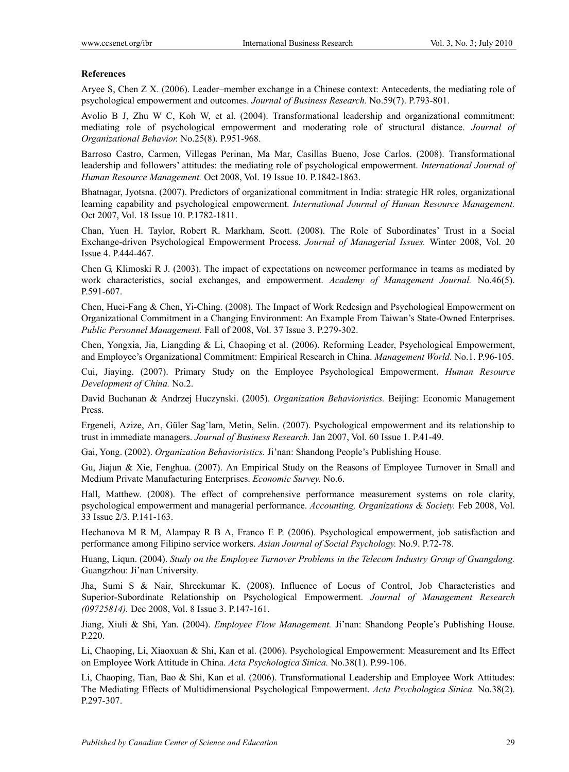# **References**

Aryee S, Chen Z X. (2006). Leader–member exchange in a Chinese context: Antecedents, the mediating role of psychological empowerment and outcomes. *Journal of Business Research.* No.59(7). P.793-801.

Avolio B J, Zhu W C, Koh W, et al. (2004). Transformational leadership and organizational commitment: mediating role of psychological empowerment and moderating role of structural distance. *Journal of Organizational Behavior.* No.25(8). P.951-968.

Barroso Castro, Carmen, Villegas Perinan, Ma Mar, Casillas Bueno, Jose Carlos. (2008). Transformational leadership and followers' attitudes: the mediating role of psychological empowerment. *International Journal of Human Resource Management.* Oct 2008, Vol. 19 Issue 10. P.1842-1863.

Bhatnagar, Jyotsna. (2007). Predictors of organizational commitment in India: strategic HR roles, organizational learning capability and psychological empowerment. *International Journal of Human Resource Management.*  Oct 2007, Vol. 18 Issue 10. P.1782-1811.

Chan, Yuen H. Taylor, Robert R. Markham, Scott. (2008). The Role of Subordinates' Trust in a Social Exchange-driven Psychological Empowerment Process. *Journal of Managerial Issues.* Winter 2008, Vol. 20 Issue 4. P.444-467.

Chen G, Klimoski R J. (2003). The impact of expectations on newcomer performance in teams as mediated by work characteristics, social exchanges, and empowerment. *Academy of Management Journal.* No.46(5). P.591-607.

Chen, Huei-Fang & Chen, Yi-Ching. (2008). The Impact of Work Redesign and Psychological Empowerment on Organizational Commitment in a Changing Environment: An Example From Taiwan's State-Owned Enterprises. *Public Personnel Management.* Fall of 2008, Vol. 37 Issue 3. P.279-302.

Chen, Yongxia, Jia, Liangding & Li, Chaoping et al. (2006). Reforming Leader, Psychological Empowerment, and Employee's Organizational Commitment: Empirical Research in China. *Management World.* No.1. P.96-105.

Cui, Jiaying. (2007). Primary Study on the Employee Psychological Empowerment. *Human Resource Development of China.* No.2.

David Buchanan & Andrzej Huczynski. (2005). *Organization Behavioristics.* Beijing: Economic Management Press.

Ergeneli, Azize, Arı, Güler Sagˇlam, Metin, Selin. (2007). Psychological empowerment and its relationship to trust in immediate managers. *Journal of Business Research.* Jan 2007, Vol. 60 Issue 1. P.41-49.

Gai, Yong. (2002). *Organization Behavioristics.* Ji'nan: Shandong People's Publishing House.

Gu, Jiajun & Xie, Fenghua. (2007). An Empirical Study on the Reasons of Employee Turnover in Small and Medium Private Manufacturing Enterprises. *Economic Survey.* No.6.

Hall, Matthew. (2008). The effect of comprehensive performance measurement systems on role clarity, psychological empowerment and managerial performance. *Accounting, Organizations & Society.* Feb 2008, Vol. 33 Issue 2/3. P.141-163.

Hechanova M R M, Alampay R B A, Franco E P. (2006). Psychological empowerment, job satisfaction and performance among Filipino service workers. *Asian Journal of Social Psychology.* No.9. P.72-78.

Huang, Liqun. (2004). *Study on the Employee Turnover Problems in the Telecom Industry Group of Guangdong.* Guangzhou: Ji'nan University.

Jha, Sumi S & Nair, Shreekumar K. (2008). Influence of Locus of Control, Job Characteristics and Superior-Subordinate Relationship on Psychological Empowerment. *Journal of Management Research (09725814).* Dec 2008, Vol. 8 Issue 3. P.147-161.

Jiang, Xiuli & Shi, Yan. (2004). *Employee Flow Management.* Ji'nan: Shandong People's Publishing House. P.220.

Li, Chaoping, Li, Xiaoxuan & Shi, Kan et al. (2006). Psychological Empowerment: Measurement and Its Effect on Employee Work Attitude in China. *Acta Psychologica Sinica.* No.38(1). P.99-106.

Li, Chaoping, Tian, Bao & Shi, Kan et al. (2006). Transformational Leadership and Employee Work Attitudes: The Mediating Effects of Multidimensional Psychological Empowerment. *Acta Psychologica Sinica.* No.38(2). P.297-307.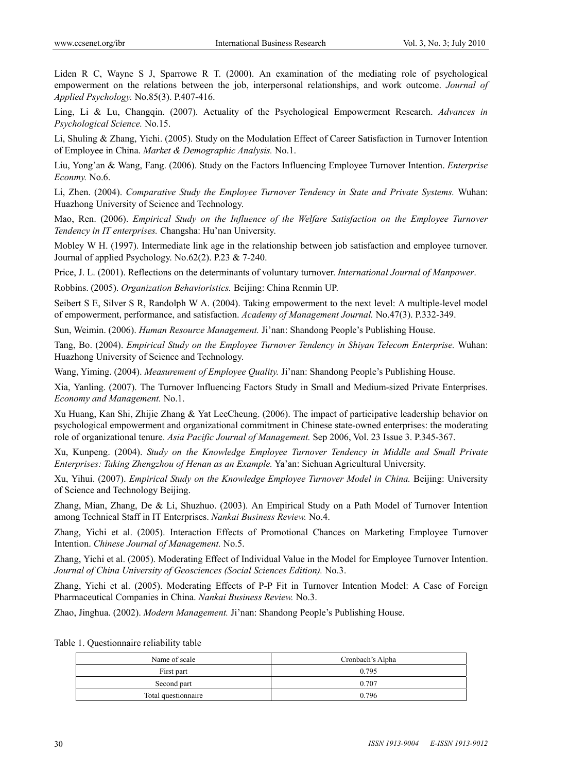Liden R C, Wayne S J, Sparrowe R T. (2000). An examination of the mediating role of psychological empowerment on the relations between the job, interpersonal relationships, and work outcome. *Journal of Applied Psychology.* No.85(3). P.407-416.

Ling, Li & Lu, Changqin. (2007). Actuality of the Psychological Empowerment Research. *Advances in Psychological Science.* No.15.

Li, Shuling & Zhang, Yichi. (2005). Study on the Modulation Effect of Career Satisfaction in Turnover Intention of Employee in China. *Market & Demographic Analysis.* No.1.

Liu, Yong'an & Wang, Fang. (2006). Study on the Factors Influencing Employee Turnover Intention. *Enterprise Econmy.* No.6.

Li, Zhen. (2004). *Comparative Study the Employee Turnover Tendency in State and Private Systems.* Wuhan: Huazhong University of Science and Technology.

Mao, Ren. (2006). *Empirical Study on the Influence of the Welfare Satisfaction on the Employee Turnover Tendency in IT enterprises.* Changsha: Hu'nan University.

Mobley W H. (1997). Intermediate link age in the relationship between job satisfaction and employee turnover. Journal of applied Psychology. No.62(2). P.23 & 7-240.

Price, J. L. (2001). Reflections on the determinants of voluntary turnover. *International Journal of Manpower*.

Robbins. (2005). *Organization Behavioristics.* Beijing: China Renmin UP.

Seibert S E, Silver S R, Randolph W A. (2004). Taking empowerment to the next level: A multiple-level model of empowerment, performance, and satisfaction. *Academy of Management Journal.* No.47(3). P.332-349.

Sun, Weimin. (2006). *Human Resource Management.* Ji'nan: Shandong People's Publishing House.

Tang, Bo. (2004). *Empirical Study on the Employee Turnover Tendency in Shiyan Telecom Enterprise.* Wuhan: Huazhong University of Science and Technology.

Wang, Yiming. (2004). *Measurement of Employee Quality.* Ji'nan: Shandong People's Publishing House.

Xia, Yanling. (2007). The Turnover Influencing Factors Study in Small and Medium-sized Private Enterprises. *Economy and Management.* No.1.

Xu Huang, Kan Shi, Zhijie Zhang & Yat LeeCheung. (2006). The impact of participative leadership behavior on psychological empowerment and organizational commitment in Chinese state-owned enterprises: the moderating role of organizational tenure. *Asia Pacific Journal of Management.* Sep 2006, Vol. 23 Issue 3. P.345-367.

Xu, Kunpeng. (2004). *Study on the Knowledge Employee Turnover Tendency in Middle and Small Private Enterprises: Taking Zhengzhou of Henan as an Example.* Ya'an: Sichuan Agricultural University.

Xu, Yihui. (2007). *Empirical Study on the Knowledge Employee Turnover Model in China.* Beijing: University of Science and Technology Beijing.

Zhang, Mian, Zhang, De & Li, Shuzhuo. (2003). An Empirical Study on a Path Model of Turnover Intention among Technical Staff in IT Enterprises. *Nankai Business Review.* No.4.

Zhang, Yichi et al. (2005). Interaction Effects of Promotional Chances on Marketing Employee Turnover Intention. *Chinese Journal of Management.* No.5.

Zhang, Yichi et al. (2005). Moderating Effect of Individual Value in the Model for Employee Turnover Intention. *Journal of China University of Geosciences (Social Sciences Edition).* No.3.

Zhang, Yichi et al. (2005). Moderating Effects of P-P Fit in Turnover Intention Model: A Case of Foreign Pharmaceutical Companies in China. *Nankai Business Review.* No.3.

Zhao, Jinghua. (2002). *Modern Management.* Ji'nan: Shandong People's Publishing House.

Table 1. Questionnaire reliability table

| Name of scale       | Cronbach's Alpha |  |  |  |
|---------------------|------------------|--|--|--|
| First part          | 0.795            |  |  |  |
| Second part         | 0.707            |  |  |  |
| Total questionnaire | 0.796            |  |  |  |